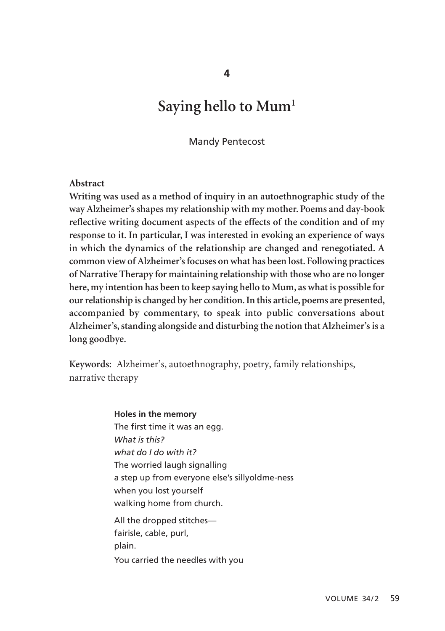# **Saying hello to Mum1**

Mandy Pentecost

#### **Abstract**

**Writing was used as a method of inquiry in an autoethnographic study of the way Alzheimer's shapes my relationship with my mother. Poems and day-book reflective writing document aspects of the effects of the condition and of my response to it. In particular, I was interested in evoking an experience of ways in which the dynamics of the relationship are changed and renegotiated. A common view of Alzheimer's focuses on what has been lost. Following practices of Narrative Therapy for maintaining relationship with those who are no longer here, my intention has been to keep saying hello to Mum, as what is possible for our relationship is changed by her condition. In this article, poems are presented, accompanied by commentary, to speak into public conversations about Alzheimer's, standing alongside and disturbing the notion that Alzheimer's is a long goodbye.** 

**Keywords:** Alzheimer's, autoethnography, poetry, family relationships, narrative therapy

> **Holes in the memory** The first time it was an egg. *What is this? what do I do with it?* The worried laugh signalling a step up from everyone else's sillyoldme-ness when you lost yourself walking home from church. All the dropped stitches fairisle, cable, purl, plain. You carried the needles with you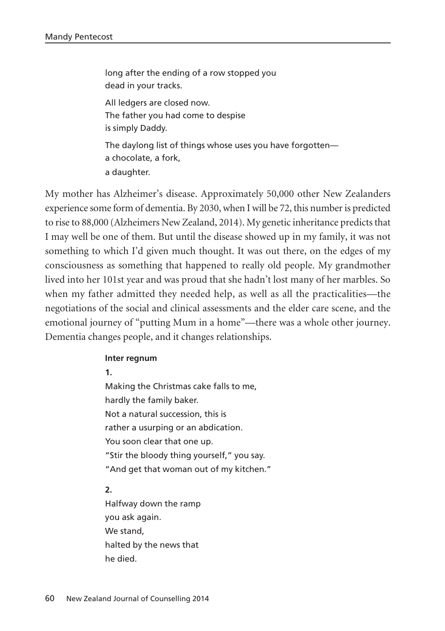long after the ending of a row stopped you dead in your tracks. All ledgers are closed now. The father you had come to despise is simply Daddy. The daylong list of things whose uses you have forgotten a chocolate, a fork, a daughter.

My mother has Alzheimer's disease. Approximately 50,000 other New Zealanders experience some form of dementia. By 2030, when I will be 72, this number is predicted to rise to 88,000 (Alzheimers New Zealand, 2014). My genetic inheritance predicts that I may well be one of them. But until the disease showed up in my family, it was not something to which I'd given much thought. It was out there, on the edges of my consciousness as something that happened to really old people. My grandmother lived into her 101st year and was proud that she hadn't lost many of her marbles. So when my father admitted they needed help, as well as all the practicalities—the negotiations of the social and clinical assessments and the elder care scene, and the emotional journey of "putting Mum in a home"—there was a whole other journey. Dementia changes people, and it changes relationships.

#### **Inter regnum**

#### **1.**

Making the Christmas cake falls to me, hardly the family baker. Not a natural succession, this is rather a usurping or an abdication. You soon clear that one up. "Stir the bloody thing yourself," you say. "And get that woman out of my kitchen."

## **2.**

Halfway down the ramp you ask again. We stand, halted by the news that he died.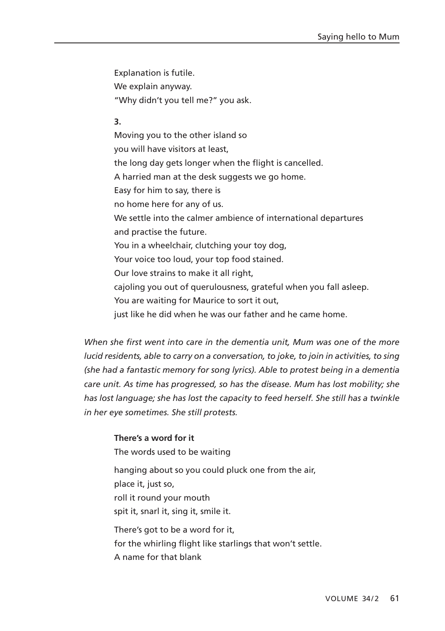Explanation is futile. We explain anyway. "Why didn't you tell me?" you ask.

**3.**

Moving you to the other island so you will have visitors at least, the long day gets longer when the flight is cancelled. A harried man at the desk suggests we go home. Easy for him to say, there is no home here for any of us. We settle into the calmer ambience of international departures and practise the future. You in a wheelchair, clutching your toy dog, Your voice too loud, your top food stained. Our love strains to make it all right, cajoling you out of querulousness, grateful when you fall asleep. You are waiting for Maurice to sort it out, just like he did when he was our father and he came home.

*When she first went into care in the dementia unit, Mum was one of the more lucid residents, able to carry on a conversation, to joke, to join in activities, to sing (she had a fantastic memory for song lyrics). Able to protest being in a dementia care unit. As time has progressed, so has the disease. Mum has lost mobility; she has lost language; she has lost the capacity to feed herself. She still has a twinkle in her eye sometimes. She still protests.*

#### **There's a word for it**

The words used to be waiting

hanging about so you could pluck one from the air, place it, just so, roll it round your mouth spit it, snarl it, sing it, smile it. There's got to be a word for it.

for the whirling flight like starlings that won't settle.

A name for that blank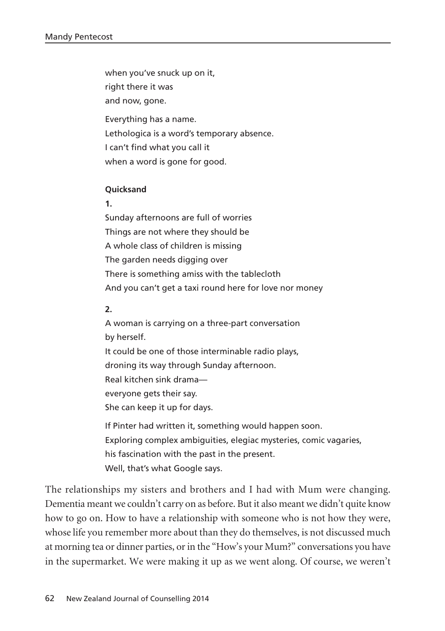when you've snuck up on it, right there it was and now, gone. Everything has a name. Lethologica is a word's temporary absence. I can't find what you call it when a word is gone for good.

## **Quicksand**

#### **1.**

Sunday afternoons are full of worries Things are not where they should be A whole class of children is missing The garden needs digging over There is something amiss with the tablecloth And you can't get a taxi round here for love nor money

## **2.**

A woman is carrying on a three-part conversation by herself. It could be one of those interminable radio plays, droning its way through Sunday afternoon. Real kitchen sink drama everyone gets their say. She can keep it up for days. If Pinter had written it, something would happen soon. Exploring complex ambiguities, elegiac mysteries, comic vagaries, his fascination with the past in the present. Well, that's what Google says.

The relationships my sisters and brothers and I had with Mum were changing. Dementia meant we couldn't carry on as before. But it also meant we didn't quite know how to go on. How to have a relationship with someone who is not how they were, whose life you remember more about than they do themselves, is not discussed much at morning tea or dinner parties, or in the "How's your Mum?" conversations you have in the supermarket. We were making it up as we went along. Of course, we weren't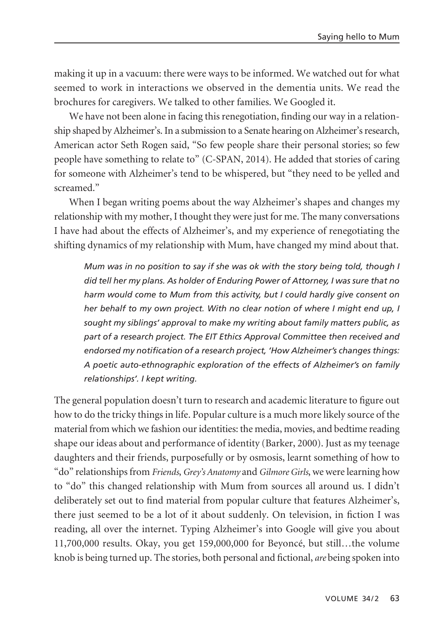making it up in a vacuum: there were ways to be informed. We watched out for what seemed to work in interactions we observed in the dementia units. We read the brochures for caregivers. We talked to other families. We Googled it.

We have not been alone in facing this renegotiation, finding our way in a relationship shaped by Alzheimer's. In a submission to a Senate hearing on Alzheimer's research, American actor Seth Rogen said, "So few people share their personal stories; so few people have something to relate to" (C-SPAN, 2014). He added that stories of caring for someone with Alzheimer's tend to be whispered, but "they need to be yelled and screamed."

When I began writing poems about the way Alzheimer's shapes and changes my relationship with my mother, I thought they were just for me. The many conversations I have had about the effects of Alzheimer's, and my experience of renegotiating the shifting dynamics of my relationship with Mum, have changed my mind about that.

*Mum was in no position to say if she was ok with the story being told, though I did tell her my plans. As holder of Enduring Power of Attorney, I was sure that no harm would come to Mum from this activity, but I could hardly give consent on her behalf to my own project. With no clear notion of where I might end up, I sought my siblings' approval to make my writing about family matters public, as part of a research project. The EIT Ethics Approval Committee then received and endorsed my notification of a research project, 'How Alzheimer's changes things: A poetic auto-ethnographic exploration of the effects of Alzheimer's on family relationships'. I kept writing.*

The general population doesn't turn to research and academic literature to figure out how to do the tricky things in life. Popular culture is a much more likely source of the material from which we fashion our identities: the media, movies, and bedtime reading shape our ideas about and performance of identity (Barker, 2000). Just as my teenage daughters and their friends, purposefully or by osmosis, learnt something of how to "do" relationships from *Friends*, *Grey's Anatomy* and *Gilmore Girls*, we were learning how to "do" this changed relationship with Mum from sources all around us. I didn't deliberately set out to find material from popular culture that features Alzheimer's, there just seemed to be a lot of it about suddenly. On television, in fiction I was reading, all over the internet. Typing Alzheimer's into Google will give you about 11,700,000 results. Okay, you get 159,000,000 for Beyoncé, but still…the volume knob is being turned up. The stories, both personal and fictional, *are* being spoken into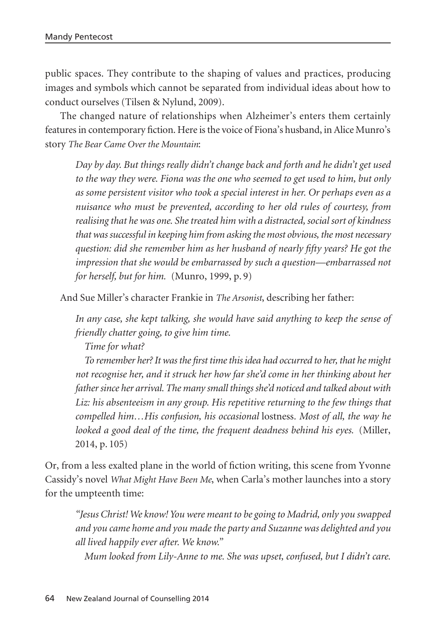public spaces. They contribute to the shaping of values and practices, producing images and symbols which cannot be separated from individual ideas about how to conduct ourselves (Tilsen & Nylund, 2009).

The changed nature of relationships when Alzheimer's enters them certainly features in contemporary fiction. Here is the voice of Fiona's husband, in Alice Munro's story *The Bear Came Over the Mountain*:

*Day by day. But things really didn't change back and forth and he didn't get used to the way they were. Fiona was the one who seemed to get used to him, but only as some persistent visitor who took a special interest in her. Or perhaps even as a nuisance who must be prevented, according to her old rules of courtesy, from realising that he was one. She treated him with a distracted, social sort of kindness that was successful in keeping him from asking the most obvious, the most necessary question: did she remember him as her husband of nearly fifty years? He got the impression that she would be embarrassed by such a question—embarrassed not for herself, but for him.* (Munro, 1999, p. 9)

And Sue Miller's character Frankie in *The Arsonist*, describing her father:

*In any case, she kept talking, she would have said anything to keep the sense of friendly chatter going, to give him time.*

*Time for what?*

*To remember her? It was the first time this idea had occurred to her, that he might not recognise her, and it struck her how far she'd come in her thinking about her father since her arrival. The many small things she'd noticed and talked about with Liz: his absenteeism in any group. His repetitive returning to the few things that compelled him…His confusion, his occasional* lostness*. Most of all, the way he looked a good deal of the time, the frequent deadness behind his eyes.* (Miller, 2014, p. 105)

Or, from a less exalted plane in the world of fiction writing, this scene from Yvonne Cassidy's novel *What Might Have Been Me*, when Carla's mother launches into a story for the umpteenth time:

*"Jesus Christ! We know! You were meant to be going to Madrid, only you swapped and you came home and you made the party and Suzanne was delighted and you all lived happily ever after. We know."*

*Mum looked from Lily-Anne to me. She was upset, confused, but I didn't care.*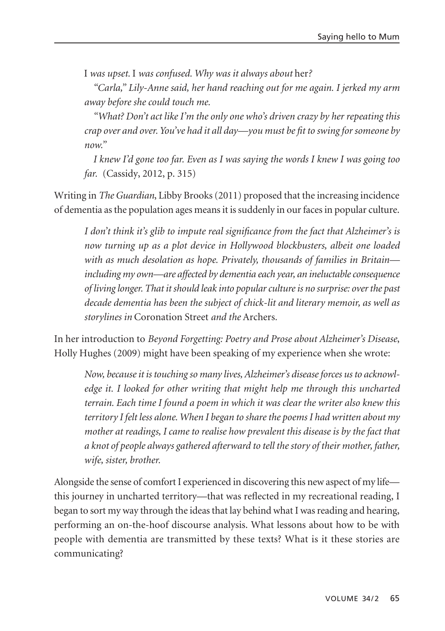I *was upset.* I *was confused. Why was it always about* her*?*

*"Carla," Lily-Anne said, her hand reaching out for me again. I jerked my arm away before she could touch me.*

*"What? Don't act like I'm the only one who's driven crazy by her repeating this crap over and over. You've had it all day—you must be fit to swing for someone by now."* 

*I knew I'd gone too far. Even as I was saying the words I knew I was going too far.* (Cassidy, 2012, p. 315)

Writing in *The Guardian*, Libby Brooks (2011) proposed that the increasing incidence of dementia as the population ages means it is suddenly in our faces in popular culture.

*I don't think it's glib to impute real significance from the fact that Alzheimer's is now turning up as a plot device in Hollywood blockbusters, albeit one loaded with as much desolation as hope. Privately, thousands of families in Britain including my own—are affected by dementia each year, an ineluctable consequence of living longer. That it should leak into popular culture is no surprise: over the past decade dementia has been the subject of chick-lit and literary memoir, as well as storylines in* Coronation Street *and the* Archers*.*

In her introduction to *Beyond Forgetting: Poetry and Prose about Alzheimer's Disease*, Holly Hughes (2009) might have been speaking of my experience when she wrote:

*Now, because it is touching so many lives, Alzheimer's disease forces us to acknowl edge it. I looked for other writing that might help me through this uncharted terrain. Each time I found a poem in which it was clear the writer also knew this territory I felt less alone. When I began to share the poems I had written about my mother at readings, I came to realise how prevalent this disease is by the fact that a knot of people always gathered afterward to tell the story of their mother, father, wife, sister, brother.*

Alongside the sense of comfort I experienced in discovering this new aspect of my life this journey in uncharted territory—that was reflected in my recreational reading, I began to sort my way through the ideas that lay behind what I was reading and hearing, performing an on-the-hoof discourse analysis. What lessons about how to be with people with dementia are transmitted by these texts? What is it these stories are communicating?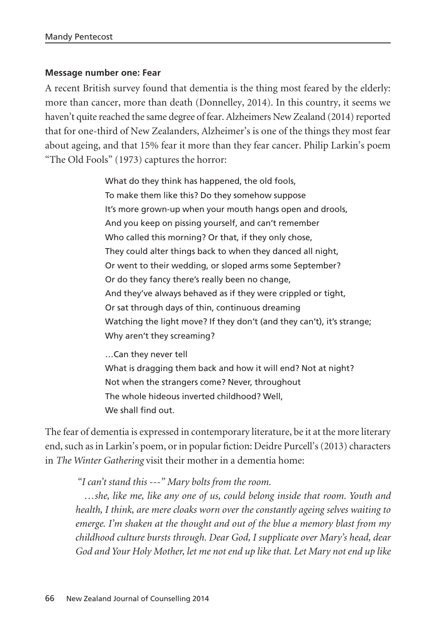## **Message number one: Fear**

A recent British survey found that dementia is the thing most feared by the elderly: more than cancer, more than death (Donnelley, 2014). In this country, it seems we haven't quite reached the same degree of fear. Alzheimers New Zealand (2014) reported that for one-third of New Zealanders, Alzheimer's is one of the things they most fear about ageing, and that 15% fear it more than they fear cancer. Philip Larkin's poem "The Old Fools" (1973) captures the horror:

> What do they think has happened, the old fools, To make them like this? Do they somehow suppose It's more grown-up when your mouth hangs open and drools, And you keep on pissing yourself, and can't remember Who called this morning? Or that, if they only chose, They could alter things back to when they danced all night, Or went to their wedding, or sloped arms some September? Or do they fancy there's really been no change, And they've always behaved as if they were crippled or tight, Or sat through days of thin, continuous dreaming Watching the light move? If they don't (and they can't), it's strange; Why aren't they screaming?

…Can they never tell What is dragging them back and how it will end? Not at night? Not when the strangers come? Never, throughout The whole hideous inverted childhood? Well, We shall find out.

The fear of dementia is expressed in contemporary literature, be it at the more literary end, such as in Larkin's poem, or in popular fiction: Deidre Purcell's (2013) characters in *The Winter Gathering* visit their mother in a dementia home:

*"I can't stand this ---" Mary bolts from the room.*

*…she, like me, like any one of us, could belong inside that room. Youth and health, I think, are mere cloaks worn over the constantly ageing selves waiting to emerge. I'm shaken at the thought and out of the blue a memory blast from my childhood culture bursts through. Dear God, I supplicate over Mary's head, dear God and Your Holy Mother, let me not end up like that. Let Mary not end up like*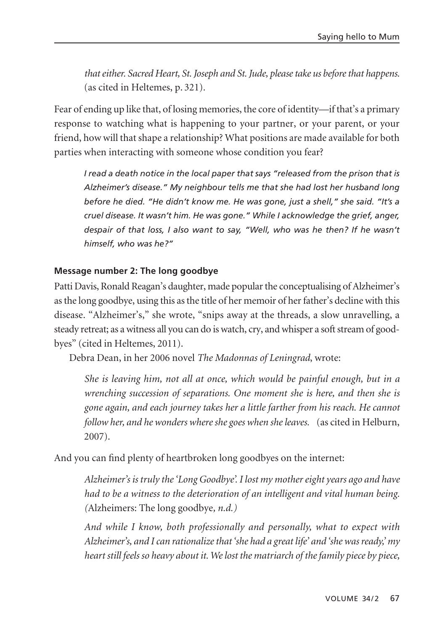*that either. Sacred Heart, St. Joseph and St. Jude, please take us before that happens.* (as cited in Heltemes, p. 321)*.*

Fear of ending up like that, of losing memories, the core of identity—if that's a primary response to watching what is happening to your partner, or your parent, or your friend, how will that shape a relationship? What positions are made available for both parties when interacting with someone whose condition you fear?

*I read a death notice in the local paper that says "released from the prison that is Alzheimer's disease." My neighbour tells me that she had lost her husband long before he died. "He didn't know me. He was gone, just a shell," she said. "It's a cruel disease. It wasn't him. He was gone." While I acknowledge the grief, anger, despair of that loss, I also want to say, "Well, who was he then? If he wasn't himself, who was he?"*

# **Message number 2: The long goodbye**

Patti Davis, Ronald Reagan's daughter, made popular the conceptualising of Alzheimer's as the long goodbye, using this as the title of her memoir of her father's decline with this disease. "Alzheimer's," she wrote, "snips away at the threads, a slow unravelling, a steady retreat; as a witness all you can do is watch, cry, and whisper a soft stream of goodbyes" (cited in Heltemes, 2011).

Debra Dean, in her 2006 novel *The Madonnas of Leningrad*, wrote:

*She is leaving him, not all at once, which would be painful enough, but in a wrench ing succession of separations. One moment she is here, and then she is gone again, and each journey takes her a little farther from his reach. He cannot follow her, and he wonders where she goes when she leaves.* (as cited in Helburn, 2007).

And you can find plenty of heartbroken long goodbyes on the internet:

*Alzheimer's is truly the 'Long Goodbye'. I lost my mother eight years ago and have had to be a witness to the deterioration of an intelligent and vital human being. (*Alzheimers: The long goodbye*, n.d.)*

*And while I know, both professionally and personally, what to expect with Alzheimer's, and I can rationalize that 'she had a great life' and 'she was ready,' my heart still feels so heavy about it. We lost the matriarch of the family piece by piece,*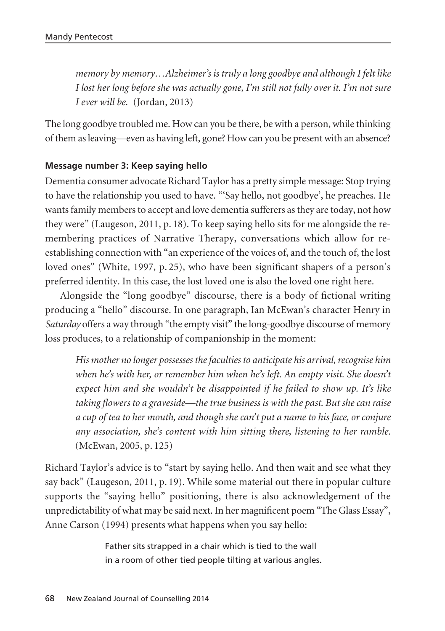*memory by memory…Alzheimer's is truly a long goodbye and although I felt like I lost her long before she was actually gone, I'm still not fully over it. I'm not sure I ever will be.* (Jordan, 2013)

The long goodbye troubled me. How can you be there, be with a person, while thinking of them as leaving—even as having left, gone? How can you be present with an absence?

## **Message number 3: Keep saying hello**

Dementia consumer advocate Richard Taylor has a pretty simple message: Stop trying to have the relationship you used to have. "'Say hello, not goodbye', he preaches. He wants family members to accept and love dementia sufferers as they are today, not how they were" (Laugeson, 2011, p. 18). To keep saying hello sits for me alongside the remembering practices of Narrative Therapy, conversations which allow for reestablishing connection with "an experience of the voices of, and the touch of, the lost loved ones" (White, 1997, p. 25), who have been significant shapers of a person's preferred identity. In this case, the lost loved one is also the loved one right here.

Alongside the "long goodbye" discourse, there is a body of fictional writing producing a "hello" discourse. In one paragraph, Ian McEwan's character Henry in *Saturday* offers a way through "the empty visit" the long-goodbye discourse of memory loss produces, to a relationship of companionship in the moment:

*His mother no longer possesses the faculties to anticipate his arrival, recognise him when he's with her, or remember him when he's left. An empty visit. She doesn't expect him and she wouldn't be disappointed if he failed to show up. It's like taking flowers to a graveside—the true business is with the past. But she can raise a cup of tea to her mouth, and though she can't put a name to his face, or conjure any association, she's content with him sitting there, listening to her ramble.* (McEwan, 2005, p. 125)

Richard Taylor's advice is to "start by saying hello. And then wait and see what they say back" (Laugeson, 2011, p. 19). While some material out there in popular culture supports the "saying hello" positioning, there is also acknowledgement of the unpredictability of what may be said next. In her magnificent poem "The Glass Essay", Anne Carson (1994) presents what happens when you say hello:

> Father sits strapped in a chair which is tied to the wall in a room of other tied people tilting at various angles.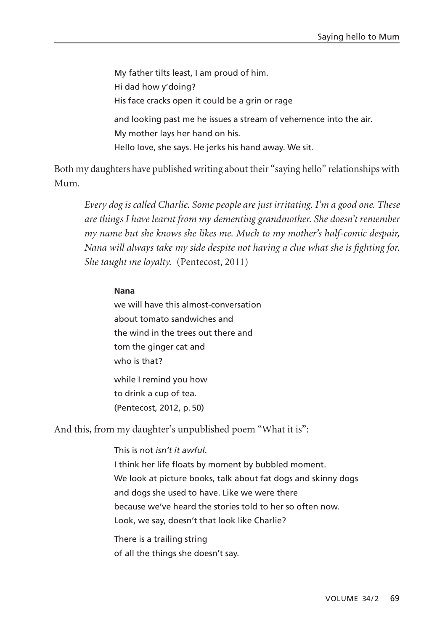My father tilts least, I am proud of him. Hi dad how y'doing? His face cracks open it could be a grin or rage and looking past me he issues a stream of vehemence into the air. My mother lays her hand on his. Hello love, she says. He jerks his hand away. We sit.

Both my daughters have published writing about their "saying hello" relationships with Mum.

*Every dog is called Charlie. Some people are just irritating. I'm a good one. These are things I have learnt from my dementing grandmother. She doesn't remember my name but she knows she likes me. Much to my mother's half-comic despair, Nana will always take my side despite not having a clue what she is fighting for. She taught me loyalty.* (Pentecost, 2011)

## **Nana**

we will have this almost-conversation about tomato sandwiches and the wind in the trees out there and tom the ginger cat and who is that? while I remind you how to drink a cup of tea. (Pentecost, 2012, p. 50)

And this, from my daughter's unpublished poem "What it is":

This is not *isn't it awful*. I think her life floats by moment by bubbled moment. We look at picture books, talk about fat dogs and skinny dogs and dogs she used to have. Like we were there because we've heard the stories told to her so often now. Look, we say, doesn't that look like Charlie? There is a trailing string

of all the things she doesn't say.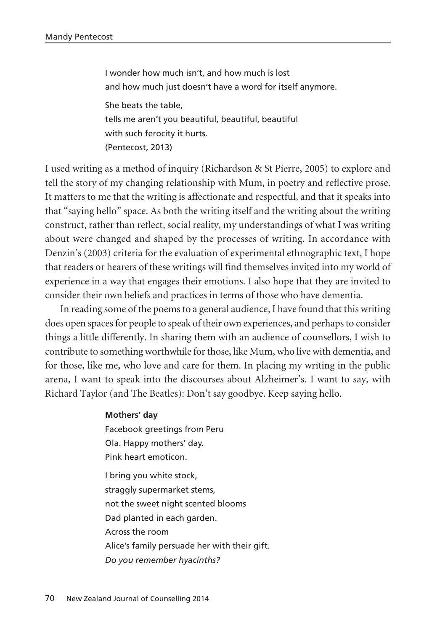I wonder how much isn't, and how much is lost and how much just doesn't have a word for itself anymore. She beats the table, tells me aren't you beautiful, beautiful, beautiful with such ferocity it hurts. (Pentecost, 2013)

I used writing as a method of inquiry (Richardson & St Pierre, 2005) to explore and tell the story of my changing relationship with Mum, in poetry and reflective prose. It matters to me that the writing is affectionate and respectful, and that it speaks into that "saying hello" space. As both the writing itself and the writing about the writing construct, rather than reflect, social reality, my understandings of what I was writing about were changed and shaped by the processes of writing. In accordance with Denzin's (2003) criteria for the evaluation of experimental ethnographic text, I hope that readers or hearers of these writings will find themselves invited into my world of experience in a way that engages their emotions. I also hope that they are invited to consider their own beliefs and practices in terms of those who have dementia.

In reading some of the poems to a general audience, I have found that this writing does open spaces for people to speak of their own experiences, and perhaps to consider things a little differently. In sharing them with an audience of counsellors, I wish to contribute to something worthwhile for those, like Mum, who live with dementia, and for those, like me, who love and care for them. In placing my writing in the public arena, I want to speak into the discourses about Alzheimer's. I want to say, with Richard Taylor (and The Beatles): Don't say goodbye. Keep saying hello.

## **Mothers' day**

Facebook greetings from Peru Ola. Happy mothers' day. Pink heart emoticon. I bring you white stock, straggly supermarket stems, not the sweet night scented blooms Dad planted in each garden. Across the room Alice's family persuade her with their gift. *Do you remember hyacinths?*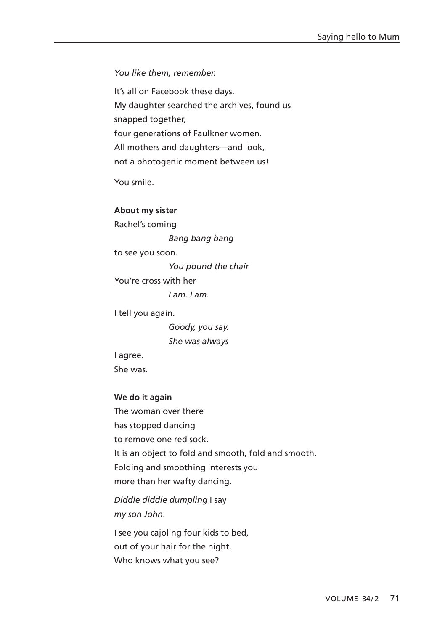*You like them, remember.* 

It's all on Facebook these days. My daughter searched the archives, found us snapped together, four generations of Faulkner women. All mothers and daughters—and look, not a photogenic moment between us!

You smile.

#### **About my sister**

Rachel's coming *Bang bang bang* to see you soon. *You pound the chair* You're cross with her *I am. I am.*  I tell you again.

> *Goody, you say. She was always*

I agree. She was.

#### **We do it again**

The woman over there has stopped dancing to remove one red sock. It is an object to fold and smooth, fold and smooth. Folding and smoothing interests you more than her wafty dancing. *Diddle diddle dumpling* I say *my son John*.

I see you cajoling four kids to bed, out of your hair for the night. Who knows what you see?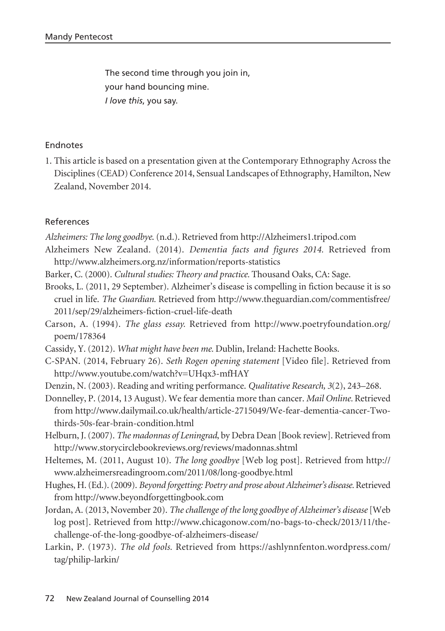The second time through you join in, your hand bouncing mine. *I love this*, you say.

## Endnotes

1. This article is based on a presentation given at the Contemporary Ethnography Across the Disciplines (CEAD) Conference 2014, Sensual Landscapes of Ethnography, Hamilton, New Zealand, November 2014.

## References

*Alzheimers: The long goodbye*. (n.d.). Retrieved from http://Alzheimers1.tripod.com

- Alzheimers New Zealand. (2014). *Dementia facts and figures 2014.* Retrieved from http://www.alzheimers.org.nz/information/reports-statistics
- Barker, C. (2000). *Cultural studies: Theory and practice.* Thousand Oaks, CA: Sage.
- Brooks, L. (2011, 29 September). Alzheimer's disease is compelling in fiction because it is so cruel in life. *The Guardian.* Retrieved from http://www.theguardian.com/commentisfree/ 2011/sep/29/alzheimers-fiction-cruel-life-death
- Carson, A. (1994). *The glass essay.* Retrieved from http://www.poetryfoundation. org/ poem/178364
- Cassidy, Y. (2012). *What might have been me.* Dublin, Ireland: Hachette Books.

C-SPAN. (2014, February 26). *Seth Rogen opening statement* [Video file]. Retrieved from http://www.youtube.com/watch?v=UHqx3-mfHAY

- Denzin, N. (2003). Reading and writing performance. *Qualitative Research, 3*(2), 243–268.
- Donnelley, P. (2014, 13 August). We fear dementia more than cancer. *Mail Online.* Retrieved from http://www.dailymail.co.uk/health/article-2715049/We-fear-dementia-cancer-Twothirds-50s-fear-brain-condition.html

Helburn, J. (2007). *The madonnas of Leningrad*, by Debra Dean [Book review]. Retrieved from http://www.storycirclebookreviews. org/reviews/madonnas.shtml

Heltemes, M. (2011, August 10). *The long goodbye* [Web log post]. Retrieved from http:// www.alzheimersreadingroom.com/2011/08/long-goodbye.html

Hughes, H. (Ed.). (2009). *Beyond forgetting: Poetry and prose about Alzheimer's disease.* Retrieved from http://www.beyondforgettingbook.com

- Jordan, A. (2013, November 20). *The challenge of the long goodbye of Alzheimer's disease*[Web log post]. Retrieved from http://www.chicagonow.com/no-bags-to-check/2013/11/thechallenge-of-the-long-goodbye-of-alzheimers-disease/
- Larkin, P. (1973). *The old fools.* Retrieved from https://ashlynnfenton.wordpress.com/ tag/philip-larkin/